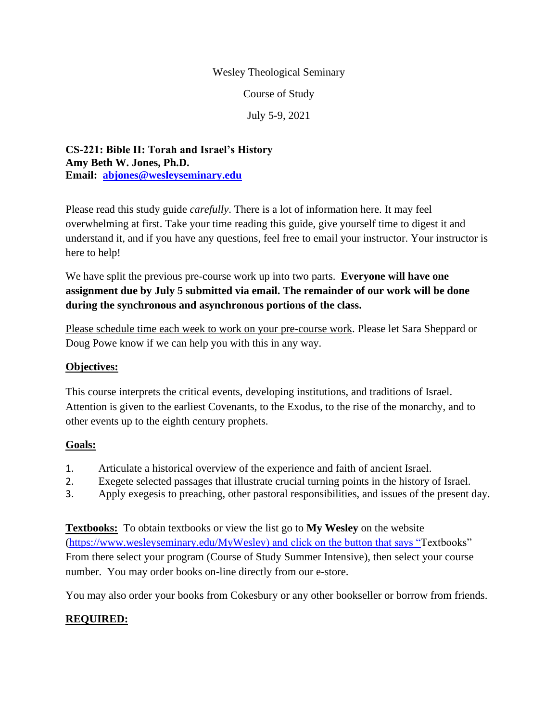#### Wesley Theological Seminary

Course of Study

July 5-9, 2021

**CS-221: Bible II: Torah and Israel's History Amy Beth W. Jones, Ph.D. Email: [abjones@wesleyseminary.edu](mailto:abjones@wesleyseminary.edu)**

Please read this study guide *carefully*. There is a lot of information here. It may feel overwhelming at first. Take your time reading this guide, give yourself time to digest it and understand it, and if you have any questions, feel free to email your instructor. Your instructor is here to help!

We have split the previous pre-course work up into two parts. **Everyone will have one assignment due by July 5 submitted via email. The remainder of our work will be done during the synchronous and asynchronous portions of the class.**

Please schedule time each week to work on your pre-course work. Please let Sara Sheppard or Doug Powe know if we can help you with this in any way.

### **Objectives:**

This course interprets the critical events, developing institutions, and traditions of Israel. Attention is given to the earliest Covenants, to the Exodus, to the rise of the monarchy, and to other events up to the eighth century prophets.

### **Goals:**

- 1. Articulate a historical overview of the experience and faith of ancient Israel.
- 2. Exegete selected passages that illustrate crucial turning points in the history of Israel.
- 3. Apply exegesis to preaching, other pastoral responsibilities, and issues of the present day.

**Textbooks:** To obtain textbooks or view the list go to **My Wesley** on the website [\(https://www.wesleyseminary.edu/MyWesley\)](https://www.wesleyseminary.edu/MyWesley) and click on the button that says "Textbooks" From there select your program (Course of Study Summer Intensive), then select your course number. You may order books on-line directly from our e-store.

You may also order your books from Cokesbury or any other bookseller or borrow from friends.

### **REQUIRED:**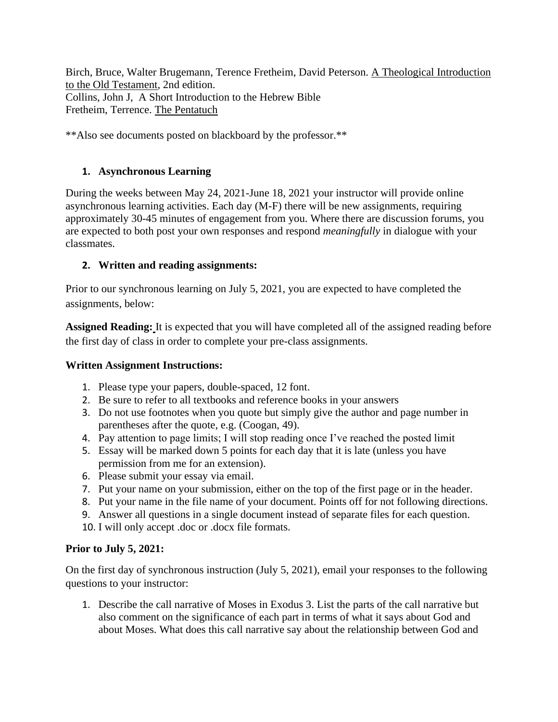Birch, Bruce, Walter Brugemann, Terence Fretheim, David Peterson. A Theological Introduction to the Old Testament, 2nd edition. Collins, John J, A Short Introduction to the Hebrew Bible Fretheim, Terrence. The Pentatuch

\*\*Also see documents posted on blackboard by the professor.\*\*

### **1. Asynchronous Learning**

During the weeks between May 24, 2021-June 18, 2021 your instructor will provide online asynchronous learning activities. Each day (M-F) there will be new assignments, requiring approximately 30-45 minutes of engagement from you. Where there are discussion forums, you are expected to both post your own responses and respond *meaningfully* in dialogue with your classmates.

# **2. Written and reading assignments:**

Prior to our synchronous learning on July 5, 2021, you are expected to have completed the assignments, below:

**Assigned Reading:** It is expected that you will have completed all of the assigned reading before the first day of class in order to complete your pre-class assignments.

### **Written Assignment Instructions:**

- 1. Please type your papers, double-spaced, 12 font.
- 2. Be sure to refer to all textbooks and reference books in your answers
- 3. Do not use footnotes when you quote but simply give the author and page number in parentheses after the quote, e.g. (Coogan, 49).
- 4. Pay attention to page limits; I will stop reading once I've reached the posted limit
- 5. Essay will be marked down 5 points for each day that it is late (unless you have permission from me for an extension).
- 6. Please submit your essay via email.
- 7. Put your name on your submission, either on the top of the first page or in the header.
- 8. Put your name in the file name of your document. Points off for not following directions.
- 9. Answer all questions in a single document instead of separate files for each question.
- 10. I will only accept .doc or .docx file formats.

# **Prior to July 5, 2021:**

On the first day of synchronous instruction (July 5, 2021), email your responses to the following questions to your instructor:

1. Describe the call narrative of Moses in Exodus 3. List the parts of the call narrative but also comment on the significance of each part in terms of what it says about God and about Moses. What does this call narrative say about the relationship between God and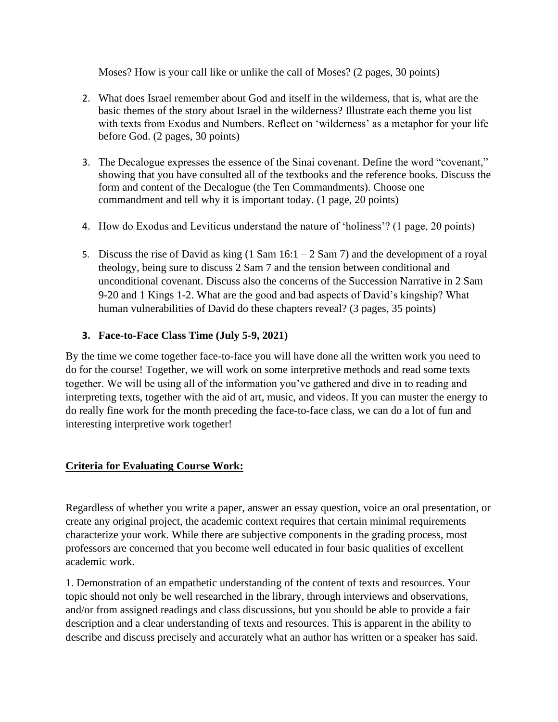Moses? How is your call like or unlike the call of Moses? (2 pages, 30 points)

- 2. What does Israel remember about God and itself in the wilderness, that is, what are the basic themes of the story about Israel in the wilderness? Illustrate each theme you list with texts from Exodus and Numbers. Reflect on 'wilderness' as a metaphor for your life before God. (2 pages, 30 points)
- 3. The Decalogue expresses the essence of the Sinai covenant. Define the word "covenant," showing that you have consulted all of the textbooks and the reference books. Discuss the form and content of the Decalogue (the Ten Commandments). Choose one commandment and tell why it is important today. (1 page, 20 points)
- 4. How do Exodus and Leviticus understand the nature of 'holiness'? (1 page, 20 points)
- 5. Discuss the rise of David as king  $(1 \text{ Sam } 16:1 2 \text{ Sam } 7)$  and the development of a royal theology, being sure to discuss 2 Sam 7 and the tension between conditional and unconditional covenant. Discuss also the concerns of the Succession Narrative in 2 Sam 9-20 and 1 Kings 1-2. What are the good and bad aspects of David's kingship? What human vulnerabilities of David do these chapters reveal? (3 pages, 35 points)

### **3. Face-to-Face Class Time (July 5-9, 2021)**

By the time we come together face-to-face you will have done all the written work you need to do for the course! Together, we will work on some interpretive methods and read some texts together. We will be using all of the information you've gathered and dive in to reading and interpreting texts, together with the aid of art, music, and videos. If you can muster the energy to do really fine work for the month preceding the face-to-face class, we can do a lot of fun and interesting interpretive work together!

### **Criteria for Evaluating Course Work:**

Regardless of whether you write a paper, answer an essay question, voice an oral presentation, or create any original project, the academic context requires that certain minimal requirements characterize your work. While there are subjective components in the grading process, most professors are concerned that you become well educated in four basic qualities of excellent academic work.

1. Demonstration of an empathetic understanding of the content of texts and resources. Your topic should not only be well researched in the library, through interviews and observations, and/or from assigned readings and class discussions, but you should be able to provide a fair description and a clear understanding of texts and resources. This is apparent in the ability to describe and discuss precisely and accurately what an author has written or a speaker has said.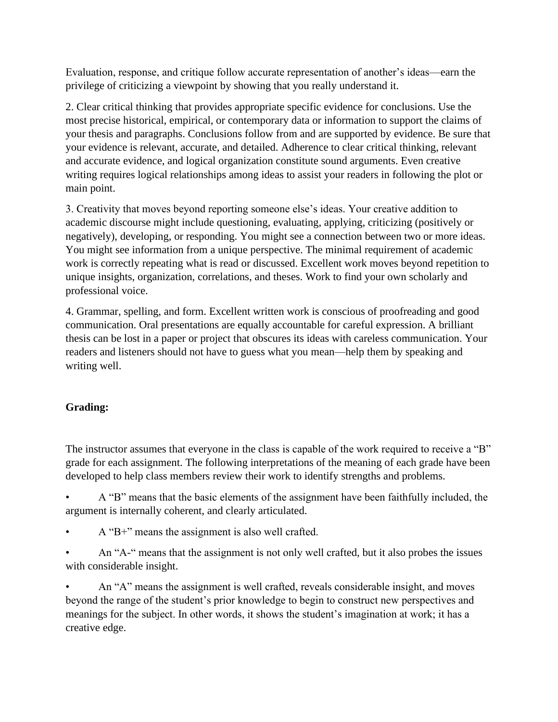Evaluation, response, and critique follow accurate representation of another's ideas—earn the privilege of criticizing a viewpoint by showing that you really understand it.

2. Clear critical thinking that provides appropriate specific evidence for conclusions. Use the most precise historical, empirical, or contemporary data or information to support the claims of your thesis and paragraphs. Conclusions follow from and are supported by evidence. Be sure that your evidence is relevant, accurate, and detailed. Adherence to clear critical thinking, relevant and accurate evidence, and logical organization constitute sound arguments. Even creative writing requires logical relationships among ideas to assist your readers in following the plot or main point.

3. Creativity that moves beyond reporting someone else's ideas. Your creative addition to academic discourse might include questioning, evaluating, applying, criticizing (positively or negatively), developing, or responding. You might see a connection between two or more ideas. You might see information from a unique perspective. The minimal requirement of academic work is correctly repeating what is read or discussed. Excellent work moves beyond repetition to unique insights, organization, correlations, and theses. Work to find your own scholarly and professional voice.

4. Grammar, spelling, and form. Excellent written work is conscious of proofreading and good communication. Oral presentations are equally accountable for careful expression. A brilliant thesis can be lost in a paper or project that obscures its ideas with careless communication. Your readers and listeners should not have to guess what you mean—help them by speaking and writing well.

# **Grading:**

The instructor assumes that everyone in the class is capable of the work required to receive a "B" grade for each assignment. The following interpretations of the meaning of each grade have been developed to help class members review their work to identify strengths and problems.

• A "B" means that the basic elements of the assignment have been faithfully included, the argument is internally coherent, and clearly articulated.

- A "B+" means the assignment is also well crafted.
- An "A-" means that the assignment is not only well crafted, but it also probes the issues with considerable insight.

• An "A" means the assignment is well crafted, reveals considerable insight, and moves beyond the range of the student's prior knowledge to begin to construct new perspectives and meanings for the subject. In other words, it shows the student's imagination at work; it has a creative edge.